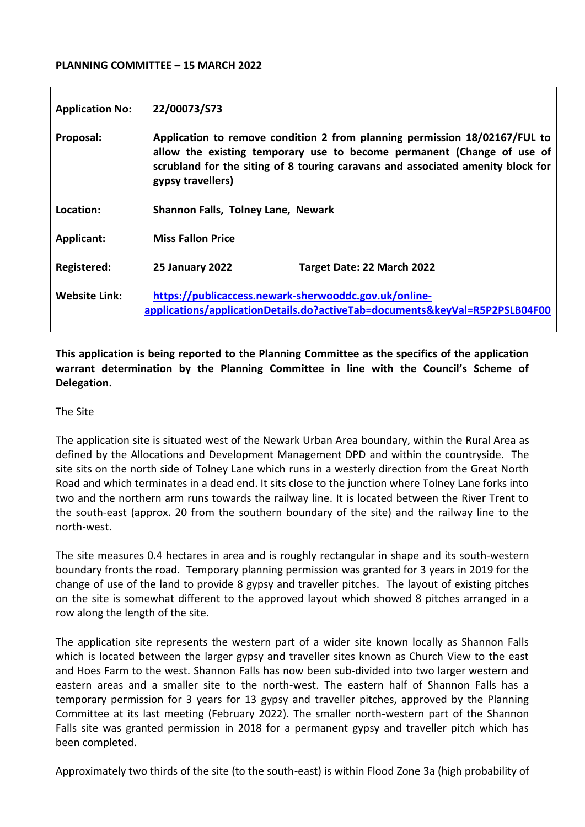#### **PLANNING COMMITTEE – 15 MARCH 2022**

| <b>Application No:</b> | 22/00073/S73                                                                                                                                                                                                                                                 |                            |
|------------------------|--------------------------------------------------------------------------------------------------------------------------------------------------------------------------------------------------------------------------------------------------------------|----------------------------|
| Proposal:              | Application to remove condition 2 from planning permission 18/02167/FUL to<br>allow the existing temporary use to become permanent (Change of use of<br>scrubland for the siting of 8 touring caravans and associated amenity block for<br>gypsy travellers) |                            |
| Location:              | Shannon Falls, Tolney Lane, Newark                                                                                                                                                                                                                           |                            |
| <b>Applicant:</b>      | <b>Miss Fallon Price</b>                                                                                                                                                                                                                                     |                            |
| Registered:            | <b>25 January 2022</b>                                                                                                                                                                                                                                       | Target Date: 22 March 2022 |
| <b>Website Link:</b>   | https://publicaccess.newark-sherwooddc.gov.uk/online-<br>applications/applicationDetails.do?activeTab=documents&keyVal=R5P2PSLB04F00                                                                                                                         |                            |

**This application is being reported to the Planning Committee as the specifics of the application warrant determination by the Planning Committee in line with the Council's Scheme of Delegation.**

#### The Site

The application site is situated west of the Newark Urban Area boundary, within the Rural Area as defined by the Allocations and Development Management DPD and within the countryside. The site sits on the north side of Tolney Lane which runs in a westerly direction from the Great North Road and which terminates in a dead end. It sits close to the junction where Tolney Lane forks into two and the northern arm runs towards the railway line. It is located between the River Trent to the south-east (approx. 20 from the southern boundary of the site) and the railway line to the north-west.

The site measures 0.4 hectares in area and is roughly rectangular in shape and its south-western boundary fronts the road. Temporary planning permission was granted for 3 years in 2019 for the change of use of the land to provide 8 gypsy and traveller pitches. The layout of existing pitches on the site is somewhat different to the approved layout which showed 8 pitches arranged in a row along the length of the site.

The application site represents the western part of a wider site known locally as Shannon Falls which is located between the larger gypsy and traveller sites known as Church View to the east and Hoes Farm to the west. Shannon Falls has now been sub-divided into two larger western and eastern areas and a smaller site to the north-west. The eastern half of Shannon Falls has a temporary permission for 3 years for 13 gypsy and traveller pitches, approved by the Planning Committee at its last meeting (February 2022). The smaller north-western part of the Shannon Falls site was granted permission in 2018 for a permanent gypsy and traveller pitch which has been completed.

Approximately two thirds of the site (to the south-east) is within Flood Zone 3a (high probability of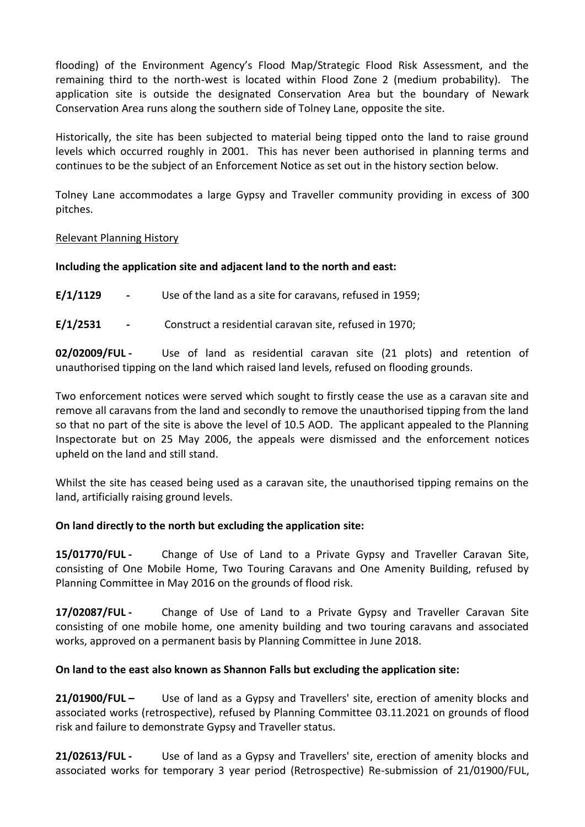flooding) of the Environment Agency's Flood Map/Strategic Flood Risk Assessment, and the remaining third to the north-west is located within Flood Zone 2 (medium probability). The application site is outside the designated Conservation Area but the boundary of Newark Conservation Area runs along the southern side of Tolney Lane, opposite the site.

Historically, the site has been subjected to material being tipped onto the land to raise ground levels which occurred roughly in 2001. This has never been authorised in planning terms and continues to be the subject of an Enforcement Notice as set out in the history section below.

Tolney Lane accommodates a large Gypsy and Traveller community providing in excess of 300 pitches.

## Relevant Planning History

# **Including the application site and adjacent land to the north and east:**

**E/1/1129 -** Use of the land as a site for caravans, refused in 1959;

**E/1/2531 -** Construct a residential caravan site, refused in 1970;

**02/02009/FUL -** Use of land as residential caravan site (21 plots) and retention of unauthorised tipping on the land which raised land levels, refused on flooding grounds.

Two enforcement notices were served which sought to firstly cease the use as a caravan site and remove all caravans from the land and secondly to remove the unauthorised tipping from the land so that no part of the site is above the level of 10.5 AOD. The applicant appealed to the Planning Inspectorate but on 25 May 2006, the appeals were dismissed and the enforcement notices upheld on the land and still stand.

Whilst the site has ceased being used as a caravan site, the unauthorised tipping remains on the land, artificially raising ground levels.

# **On land directly to the north but excluding the application site:**

**15/01770/FUL -** Change of Use of Land to a Private Gypsy and Traveller Caravan Site, consisting of One Mobile Home, Two Touring Caravans and One Amenity Building, refused by Planning Committee in May 2016 on the grounds of flood risk.

**17/02087/FUL -** Change of Use of Land to a Private Gypsy and Traveller Caravan Site consisting of one mobile home, one amenity building and two touring caravans and associated works, approved on a permanent basis by Planning Committee in June 2018.

# **On land to the east also known as Shannon Falls but excluding the application site:**

**21/01900/FUL –** Use of land as a Gypsy and Travellers' site, erection of amenity blocks and associated works (retrospective), refused by Planning Committee 03.11.2021 on grounds of flood risk and failure to demonstrate Gypsy and Traveller status.

**21/02613/FUL -** Use of land as a Gypsy and Travellers' site, erection of amenity blocks and associated works for temporary 3 year period (Retrospective) Re-submission of 21/01900/FUL,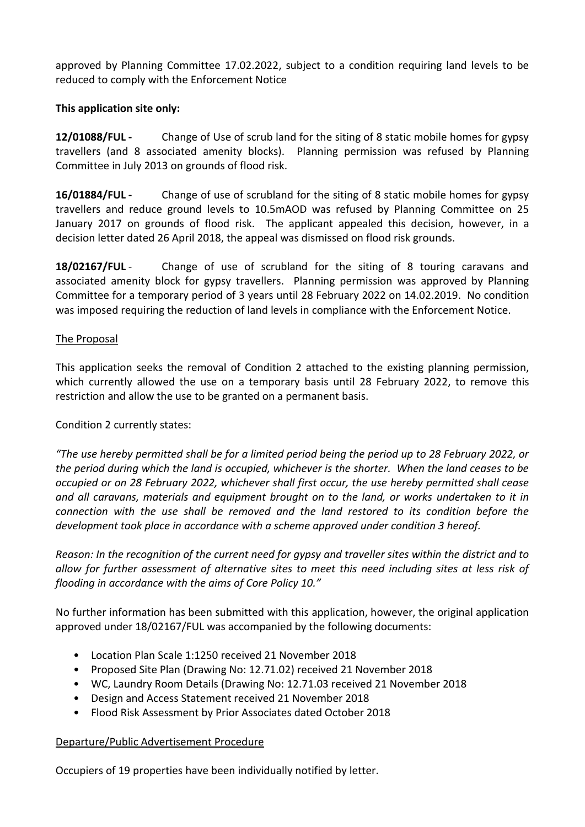approved by Planning Committee 17.02.2022, subject to a condition requiring land levels to be reduced to comply with the Enforcement Notice

# **This application site only:**

**12/01088/FUL -** Change of Use of scrub land for the siting of 8 static mobile homes for gypsy travellers (and 8 associated amenity blocks). Planning permission was refused by Planning Committee in July 2013 on grounds of flood risk.

**16/01884/FUL -** Change of use of scrubland for the siting of 8 static mobile homes for gypsy travellers and reduce ground levels to 10.5mAOD was refused by Planning Committee on 25 January 2017 on grounds of flood risk. The applicant appealed this decision, however, in a decision letter dated 26 April 2018, the appeal was dismissed on flood risk grounds.

**18/02167/FUL** - Change of use of scrubland for the siting of 8 touring caravans and associated amenity block for gypsy travellers. Planning permission was approved by Planning Committee for a temporary period of 3 years until 28 February 2022 on 14.02.2019. No condition was imposed requiring the reduction of land levels in compliance with the Enforcement Notice.

# The Proposal

This application seeks the removal of Condition 2 attached to the existing planning permission, which currently allowed the use on a temporary basis until 28 February 2022, to remove this restriction and allow the use to be granted on a permanent basis.

# Condition 2 currently states:

*"The use hereby permitted shall be for a limited period being the period up to 28 February 2022, or the period during which the land is occupied, whichever is the shorter. When the land ceases to be occupied or on 28 February 2022, whichever shall first occur, the use hereby permitted shall cease and all caravans, materials and equipment brought on to the land, or works undertaken to it in connection with the use shall be removed and the land restored to its condition before the development took place in accordance with a scheme approved under condition 3 hereof.*

*Reason: In the recognition of the current need for gypsy and traveller sites within the district and to allow for further assessment of alternative sites to meet this need including sites at less risk of flooding in accordance with the aims of Core Policy 10."*

No further information has been submitted with this application, however, the original application approved under 18/02167/FUL was accompanied by the following documents:

- Location Plan Scale 1:1250 received 21 November 2018
- Proposed Site Plan (Drawing No: 12.71.02) received 21 November 2018
- WC, Laundry Room Details (Drawing No: 12.71.03 received 21 November 2018
- Design and Access Statement received 21 November 2018
- Flood Risk Assessment by Prior Associates dated October 2018

# Departure/Public Advertisement Procedure

Occupiers of 19 properties have been individually notified by letter.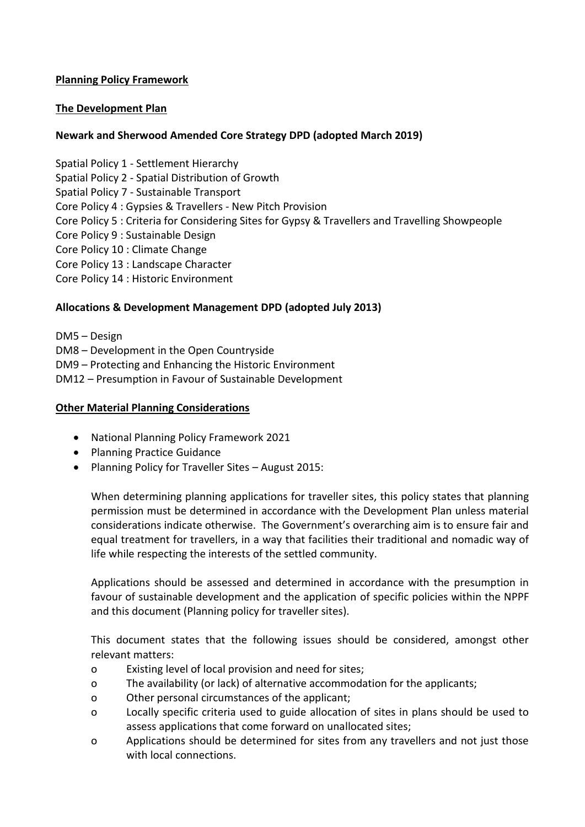# **Planning Policy Framework**

## **The Development Plan**

## **Newark and Sherwood Amended Core Strategy DPD (adopted March 2019)**

Spatial Policy 1 - Settlement Hierarchy Spatial Policy 2 - Spatial Distribution of Growth Spatial Policy 7 - Sustainable Transport Core Policy 4 : Gypsies & Travellers - New Pitch Provision Core Policy 5 : Criteria for Considering Sites for Gypsy & Travellers and Travelling Showpeople Core Policy 9 : Sustainable Design Core Policy 10 : Climate Change Core Policy 13 : Landscape Character Core Policy 14 : Historic Environment

## **Allocations & Development Management DPD (adopted July 2013)**

DM5 – Design DM8 – Development in the Open Countryside DM9 – Protecting and Enhancing the Historic Environment DM12 – Presumption in Favour of Sustainable Development

#### **Other Material Planning Considerations**

- National Planning Policy Framework 2021
- Planning Practice Guidance
- Planning Policy for Traveller Sites August 2015:

When determining planning applications for traveller sites, this policy states that planning permission must be determined in accordance with the Development Plan unless material considerations indicate otherwise. The Government's overarching aim is to ensure fair and equal treatment for travellers, in a way that facilities their traditional and nomadic way of life while respecting the interests of the settled community.

Applications should be assessed and determined in accordance with the presumption in favour of sustainable development and the application of specific policies within the NPPF and this document (Planning policy for traveller sites).

This document states that the following issues should be considered, amongst other relevant matters:

- o Existing level of local provision and need for sites;
- o The availability (or lack) of alternative accommodation for the applicants;
- o Other personal circumstances of the applicant;
- o Locally specific criteria used to guide allocation of sites in plans should be used to assess applications that come forward on unallocated sites;
- o Applications should be determined for sites from any travellers and not just those with local connections.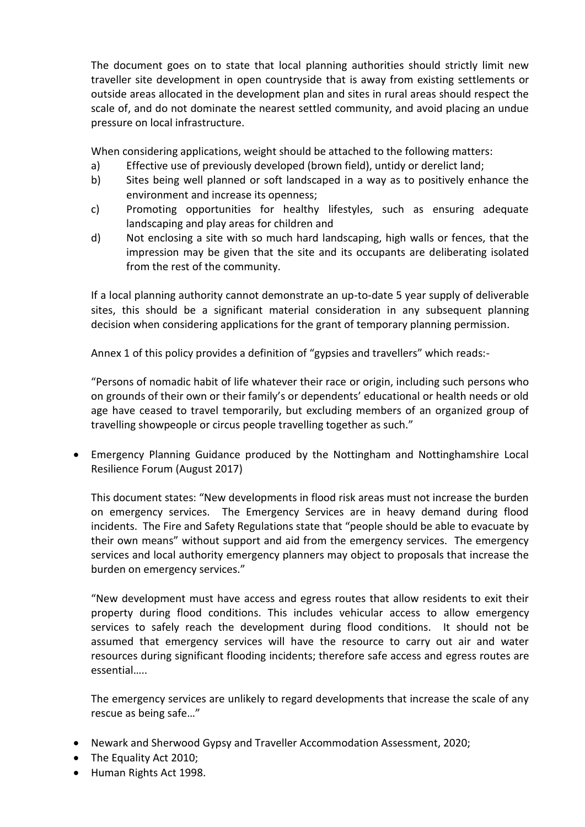The document goes on to state that local planning authorities should strictly limit new traveller site development in open countryside that is away from existing settlements or outside areas allocated in the development plan and sites in rural areas should respect the scale of, and do not dominate the nearest settled community, and avoid placing an undue pressure on local infrastructure.

When considering applications, weight should be attached to the following matters:

- a) Effective use of previously developed (brown field), untidy or derelict land;
- b) Sites being well planned or soft landscaped in a way as to positively enhance the environment and increase its openness;
- c) Promoting opportunities for healthy lifestyles, such as ensuring adequate landscaping and play areas for children and
- d) Not enclosing a site with so much hard landscaping, high walls or fences, that the impression may be given that the site and its occupants are deliberating isolated from the rest of the community.

If a local planning authority cannot demonstrate an up-to-date 5 year supply of deliverable sites, this should be a significant material consideration in any subsequent planning decision when considering applications for the grant of temporary planning permission.

Annex 1 of this policy provides a definition of "gypsies and travellers" which reads:-

"Persons of nomadic habit of life whatever their race or origin, including such persons who on grounds of their own or their family's or dependents' educational or health needs or old age have ceased to travel temporarily, but excluding members of an organized group of travelling showpeople or circus people travelling together as such."

 Emergency Planning Guidance produced by the Nottingham and Nottinghamshire Local Resilience Forum (August 2017)

This document states: "New developments in flood risk areas must not increase the burden on emergency services. The Emergency Services are in heavy demand during flood incidents. The Fire and Safety Regulations state that "people should be able to evacuate by their own means" without support and aid from the emergency services. The emergency services and local authority emergency planners may object to proposals that increase the burden on emergency services."

"New development must have access and egress routes that allow residents to exit their property during flood conditions. This includes vehicular access to allow emergency services to safely reach the development during flood conditions. It should not be assumed that emergency services will have the resource to carry out air and water resources during significant flooding incidents; therefore safe access and egress routes are essential…..

The emergency services are unlikely to regard developments that increase the scale of any rescue as being safe…"

- Newark and Sherwood Gypsy and Traveller Accommodation Assessment, 2020;
- The Equality Act 2010;
- Human Rights Act 1998.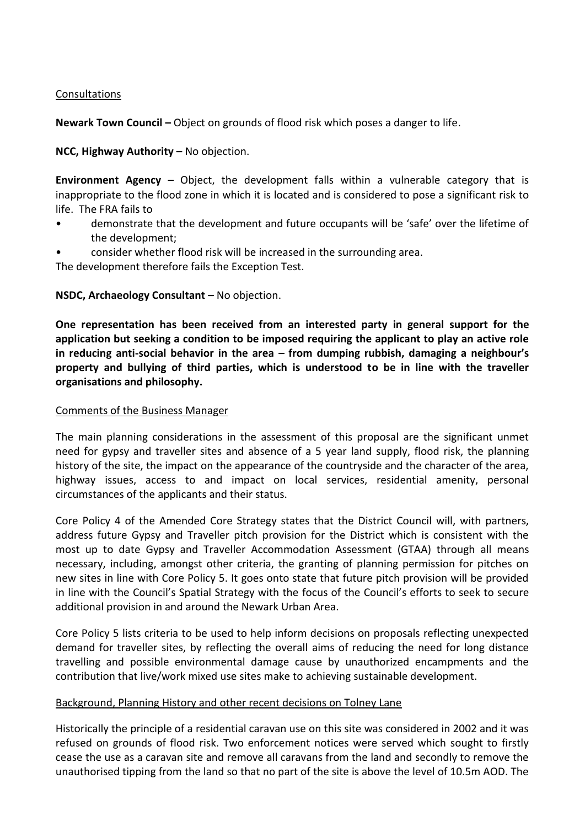## Consultations

**Newark Town Council –** Object on grounds of flood risk which poses a danger to life.

**NCC, Highway Authority –** No objection.

**Environment Agency –** Object, the development falls within a vulnerable category that is inappropriate to the flood zone in which it is located and is considered to pose a significant risk to life. The FRA fails to

- demonstrate that the development and future occupants will be 'safe' over the lifetime of the development;
- consider whether flood risk will be increased in the surrounding area.

The development therefore fails the Exception Test.

## **NSDC, Archaeology Consultant – No objection.**

**One representation has been received from an interested party in general support for the application but seeking a condition to be imposed requiring the applicant to play an active role in reducing anti-social behavior in the area – from dumping rubbish, damaging a neighbour's property and bullying of third parties, which is understood to be in line with the traveller organisations and philosophy.** 

#### Comments of the Business Manager

The main planning considerations in the assessment of this proposal are the significant unmet need for gypsy and traveller sites and absence of a 5 year land supply, flood risk, the planning history of the site, the impact on the appearance of the countryside and the character of the area, highway issues, access to and impact on local services, residential amenity, personal circumstances of the applicants and their status.

Core Policy 4 of the Amended Core Strategy states that the District Council will, with partners, address future Gypsy and Traveller pitch provision for the District which is consistent with the most up to date Gypsy and Traveller Accommodation Assessment (GTAA) through all means necessary, including, amongst other criteria, the granting of planning permission for pitches on new sites in line with Core Policy 5. It goes onto state that future pitch provision will be provided in line with the Council's Spatial Strategy with the focus of the Council's efforts to seek to secure additional provision in and around the Newark Urban Area.

Core Policy 5 lists criteria to be used to help inform decisions on proposals reflecting unexpected demand for traveller sites, by reflecting the overall aims of reducing the need for long distance travelling and possible environmental damage cause by unauthorized encampments and the contribution that live/work mixed use sites make to achieving sustainable development.

#### Background, Planning History and other recent decisions on Tolney Lane

Historically the principle of a residential caravan use on this site was considered in 2002 and it was refused on grounds of flood risk. Two enforcement notices were served which sought to firstly cease the use as a caravan site and remove all caravans from the land and secondly to remove the unauthorised tipping from the land so that no part of the site is above the level of 10.5m AOD. The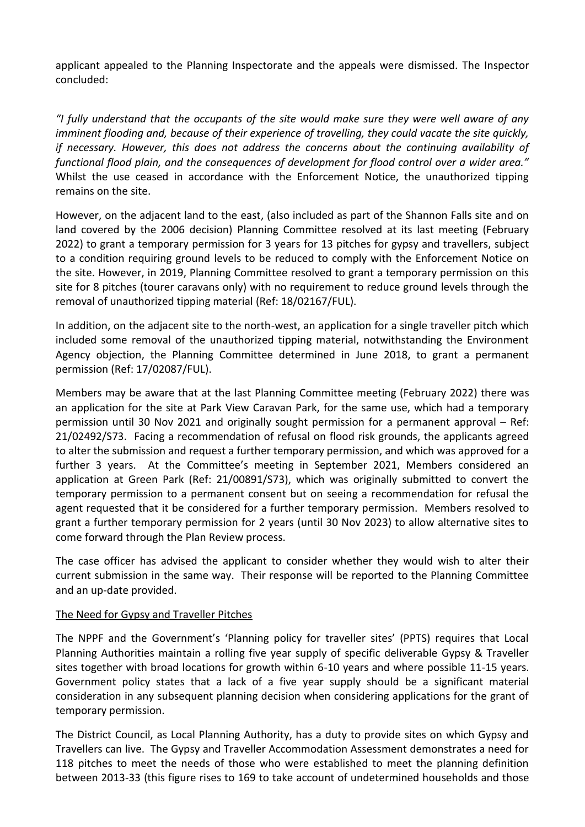applicant appealed to the Planning Inspectorate and the appeals were dismissed. The Inspector concluded:

*"I fully understand that the occupants of the site would make sure they were well aware of any imminent flooding and, because of their experience of travelling, they could vacate the site quickly, if necessary. However, this does not address the concerns about the continuing availability of functional flood plain, and the consequences of development for flood control over a wider area."* Whilst the use ceased in accordance with the Enforcement Notice, the unauthorized tipping remains on the site.

However, on the adjacent land to the east, (also included as part of the Shannon Falls site and on land covered by the 2006 decision) Planning Committee resolved at its last meeting (February 2022) to grant a temporary permission for 3 years for 13 pitches for gypsy and travellers, subject to a condition requiring ground levels to be reduced to comply with the Enforcement Notice on the site. However, in 2019, Planning Committee resolved to grant a temporary permission on this site for 8 pitches (tourer caravans only) with no requirement to reduce ground levels through the removal of unauthorized tipping material (Ref: 18/02167/FUL).

In addition, on the adjacent site to the north-west, an application for a single traveller pitch which included some removal of the unauthorized tipping material, notwithstanding the Environment Agency objection, the Planning Committee determined in June 2018, to grant a permanent permission (Ref: 17/02087/FUL).

Members may be aware that at the last Planning Committee meeting (February 2022) there was an application for the site at Park View Caravan Park, for the same use, which had a temporary permission until 30 Nov 2021 and originally sought permission for a permanent approval – Ref: 21/02492/S73. Facing a recommendation of refusal on flood risk grounds, the applicants agreed to alter the submission and request a further temporary permission, and which was approved for a further 3 years. At the Committee's meeting in September 2021, Members considered an application at Green Park (Ref: 21/00891/S73), which was originally submitted to convert the temporary permission to a permanent consent but on seeing a recommendation for refusal the agent requested that it be considered for a further temporary permission. Members resolved to grant a further temporary permission for 2 years (until 30 Nov 2023) to allow alternative sites to come forward through the Plan Review process.

The case officer has advised the applicant to consider whether they would wish to alter their current submission in the same way. Their response will be reported to the Planning Committee and an up-date provided.

#### The Need for Gypsy and Traveller Pitches

The NPPF and the Government's 'Planning policy for traveller sites' (PPTS) requires that Local Planning Authorities maintain a rolling five year supply of specific deliverable Gypsy & Traveller sites together with broad locations for growth within 6-10 years and where possible 11-15 years. Government policy states that a lack of a five year supply should be a significant material consideration in any subsequent planning decision when considering applications for the grant of temporary permission.

The District Council, as Local Planning Authority, has a duty to provide sites on which Gypsy and Travellers can live. The Gypsy and Traveller Accommodation Assessment demonstrates a need for 118 pitches to meet the needs of those who were established to meet the planning definition between 2013-33 (this figure rises to 169 to take account of undetermined households and those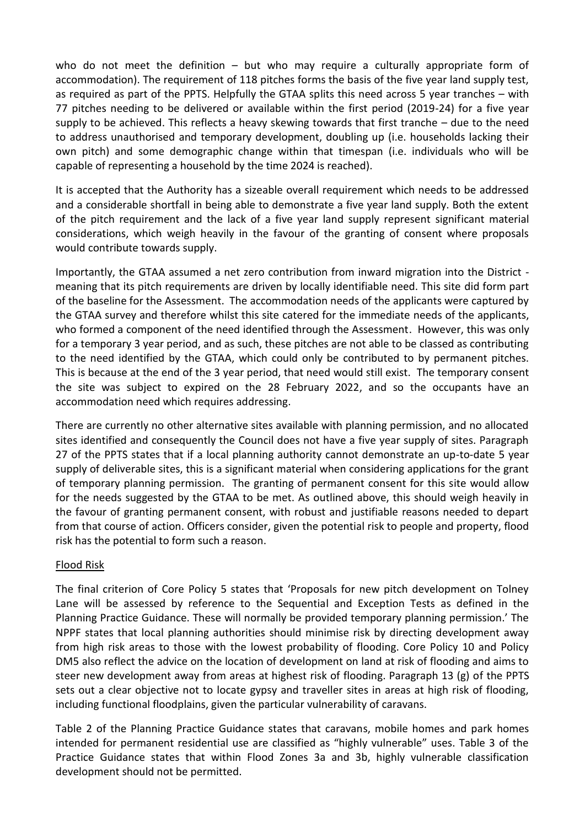who do not meet the definition – but who may require a culturally appropriate form of accommodation). The requirement of 118 pitches forms the basis of the five year land supply test, as required as part of the PPTS. Helpfully the GTAA splits this need across 5 year tranches – with 77 pitches needing to be delivered or available within the first period (2019-24) for a five year supply to be achieved. This reflects a heavy skewing towards that first tranche – due to the need to address unauthorised and temporary development, doubling up (i.e. households lacking their own pitch) and some demographic change within that timespan (i.e. individuals who will be capable of representing a household by the time 2024 is reached).

It is accepted that the Authority has a sizeable overall requirement which needs to be addressed and a considerable shortfall in being able to demonstrate a five year land supply. Both the extent of the pitch requirement and the lack of a five year land supply represent significant material considerations, which weigh heavily in the favour of the granting of consent where proposals would contribute towards supply.

Importantly, the GTAA assumed a net zero contribution from inward migration into the District meaning that its pitch requirements are driven by locally identifiable need. This site did form part of the baseline for the Assessment. The accommodation needs of the applicants were captured by the GTAA survey and therefore whilst this site catered for the immediate needs of the applicants, who formed a component of the need identified through the Assessment. However, this was only for a temporary 3 year period, and as such, these pitches are not able to be classed as contributing to the need identified by the GTAA, which could only be contributed to by permanent pitches. This is because at the end of the 3 year period, that need would still exist. The temporary consent the site was subject to expired on the 28 February 2022, and so the occupants have an accommodation need which requires addressing.

There are currently no other alternative sites available with planning permission, and no allocated sites identified and consequently the Council does not have a five year supply of sites. Paragraph 27 of the PPTS states that if a local planning authority cannot demonstrate an up-to-date 5 year supply of deliverable sites, this is a significant material when considering applications for the grant of temporary planning permission. The granting of permanent consent for this site would allow for the needs suggested by the GTAA to be met. As outlined above, this should weigh heavily in the favour of granting permanent consent, with robust and justifiable reasons needed to depart from that course of action. Officers consider, given the potential risk to people and property, flood risk has the potential to form such a reason.

# Flood Risk

The final criterion of Core Policy 5 states that 'Proposals for new pitch development on Tolney Lane will be assessed by reference to the Sequential and Exception Tests as defined in the Planning Practice Guidance. These will normally be provided temporary planning permission.' The NPPF states that local planning authorities should minimise risk by directing development away from high risk areas to those with the lowest probability of flooding. Core Policy 10 and Policy DM5 also reflect the advice on the location of development on land at risk of flooding and aims to steer new development away from areas at highest risk of flooding. Paragraph 13 (g) of the PPTS sets out a clear objective not to locate gypsy and traveller sites in areas at high risk of flooding, including functional floodplains, given the particular vulnerability of caravans.

Table 2 of the Planning Practice Guidance states that caravans, mobile homes and park homes intended for permanent residential use are classified as "highly vulnerable" uses. Table 3 of the Practice Guidance states that within Flood Zones 3a and 3b, highly vulnerable classification development should not be permitted.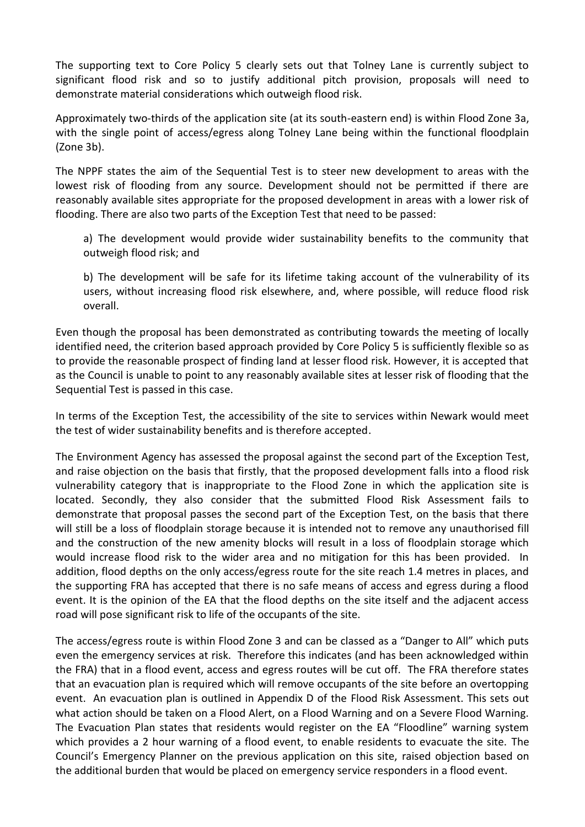The supporting text to Core Policy 5 clearly sets out that Tolney Lane is currently subject to significant flood risk and so to justify additional pitch provision, proposals will need to demonstrate material considerations which outweigh flood risk.

Approximately two-thirds of the application site (at its south-eastern end) is within Flood Zone 3a, with the single point of access/egress along Tolney Lane being within the functional floodplain (Zone 3b).

The NPPF states the aim of the Sequential Test is to steer new development to areas with the lowest risk of flooding from any source. Development should not be permitted if there are reasonably available sites appropriate for the proposed development in areas with a lower risk of flooding. There are also two parts of the Exception Test that need to be passed:

a) The development would provide wider sustainability benefits to the community that outweigh flood risk; and

b) The development will be safe for its lifetime taking account of the vulnerability of its users, without increasing flood risk elsewhere, and, where possible, will reduce flood risk overall.

Even though the proposal has been demonstrated as contributing towards the meeting of locally identified need, the criterion based approach provided by Core Policy 5 is sufficiently flexible so as to provide the reasonable prospect of finding land at lesser flood risk. However, it is accepted that as the Council is unable to point to any reasonably available sites at lesser risk of flooding that the Sequential Test is passed in this case.

In terms of the Exception Test, the accessibility of the site to services within Newark would meet the test of wider sustainability benefits and is therefore accepted.

The Environment Agency has assessed the proposal against the second part of the Exception Test, and raise objection on the basis that firstly, that the proposed development falls into a flood risk vulnerability category that is inappropriate to the Flood Zone in which the application site is located. Secondly, they also consider that the submitted Flood Risk Assessment fails to demonstrate that proposal passes the second part of the Exception Test, on the basis that there will still be a loss of floodplain storage because it is intended not to remove any unauthorised fill and the construction of the new amenity blocks will result in a loss of floodplain storage which would increase flood risk to the wider area and no mitigation for this has been provided. In addition, flood depths on the only access/egress route for the site reach 1.4 metres in places, and the supporting FRA has accepted that there is no safe means of access and egress during a flood event. It is the opinion of the EA that the flood depths on the site itself and the adjacent access road will pose significant risk to life of the occupants of the site.

The access/egress route is within Flood Zone 3 and can be classed as a "Danger to All" which puts even the emergency services at risk. Therefore this indicates (and has been acknowledged within the FRA) that in a flood event, access and egress routes will be cut off. The FRA therefore states that an evacuation plan is required which will remove occupants of the site before an overtopping event. An evacuation plan is outlined in Appendix D of the Flood Risk Assessment. This sets out what action should be taken on a Flood Alert, on a Flood Warning and on a Severe Flood Warning. The Evacuation Plan states that residents would register on the EA "Floodline" warning system which provides a 2 hour warning of a flood event, to enable residents to evacuate the site. The Council's Emergency Planner on the previous application on this site, raised objection based on the additional burden that would be placed on emergency service responders in a flood event.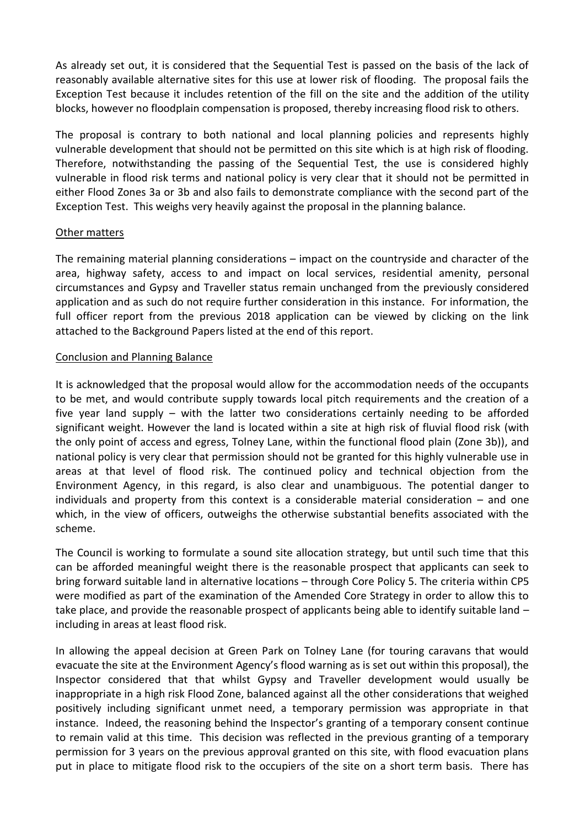As already set out, it is considered that the Sequential Test is passed on the basis of the lack of reasonably available alternative sites for this use at lower risk of flooding. The proposal fails the Exception Test because it includes retention of the fill on the site and the addition of the utility blocks, however no floodplain compensation is proposed, thereby increasing flood risk to others.

The proposal is contrary to both national and local planning policies and represents highly vulnerable development that should not be permitted on this site which is at high risk of flooding. Therefore, notwithstanding the passing of the Sequential Test, the use is considered highly vulnerable in flood risk terms and national policy is very clear that it should not be permitted in either Flood Zones 3a or 3b and also fails to demonstrate compliance with the second part of the Exception Test. This weighs very heavily against the proposal in the planning balance.

#### Other matters

The remaining material planning considerations – impact on the countryside and character of the area, highway safety, access to and impact on local services, residential amenity, personal circumstances and Gypsy and Traveller status remain unchanged from the previously considered application and as such do not require further consideration in this instance. For information, the full officer report from the previous 2018 application can be viewed by clicking on the link attached to the Background Papers listed at the end of this report.

#### Conclusion and Planning Balance

It is acknowledged that the proposal would allow for the accommodation needs of the occupants to be met, and would contribute supply towards local pitch requirements and the creation of a five year land supply – with the latter two considerations certainly needing to be afforded significant weight. However the land is located within a site at high risk of fluvial flood risk (with the only point of access and egress, Tolney Lane, within the functional flood plain (Zone 3b)), and national policy is very clear that permission should not be granted for this highly vulnerable use in areas at that level of flood risk. The continued policy and technical objection from the Environment Agency, in this regard, is also clear and unambiguous. The potential danger to individuals and property from this context is a considerable material consideration – and one which, in the view of officers, outweighs the otherwise substantial benefits associated with the scheme.

The Council is working to formulate a sound site allocation strategy, but until such time that this can be afforded meaningful weight there is the reasonable prospect that applicants can seek to bring forward suitable land in alternative locations – through Core Policy 5. The criteria within CP5 were modified as part of the examination of the Amended Core Strategy in order to allow this to take place, and provide the reasonable prospect of applicants being able to identify suitable land – including in areas at least flood risk.

In allowing the appeal decision at Green Park on Tolney Lane (for touring caravans that would evacuate the site at the Environment Agency's flood warning as is set out within this proposal), the Inspector considered that that whilst Gypsy and Traveller development would usually be inappropriate in a high risk Flood Zone, balanced against all the other considerations that weighed positively including significant unmet need, a temporary permission was appropriate in that instance. Indeed, the reasoning behind the Inspector's granting of a temporary consent continue to remain valid at this time. This decision was reflected in the previous granting of a temporary permission for 3 years on the previous approval granted on this site, with flood evacuation plans put in place to mitigate flood risk to the occupiers of the site on a short term basis. There has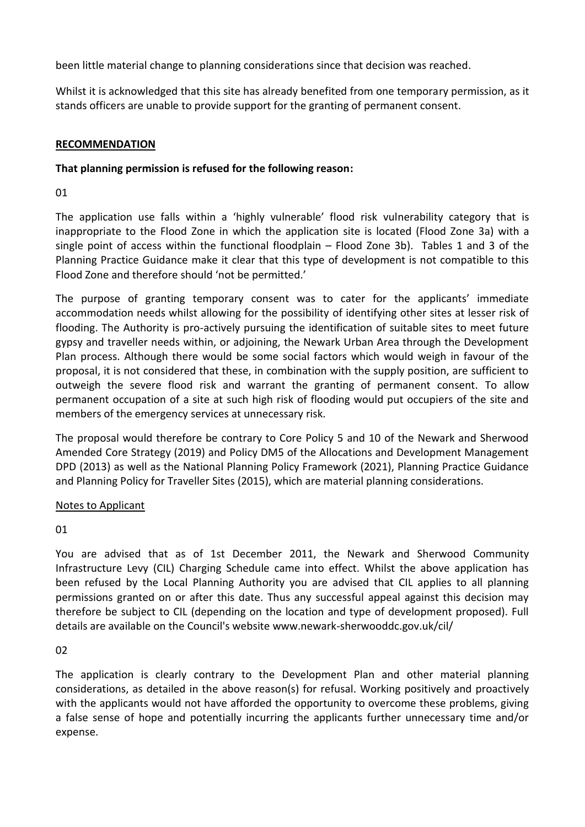been little material change to planning considerations since that decision was reached.

Whilst it is acknowledged that this site has already benefited from one temporary permission, as it stands officers are unable to provide support for the granting of permanent consent.

## **RECOMMENDATION**

# **That planning permission is refused for the following reason:**

01

The application use falls within a 'highly vulnerable' flood risk vulnerability category that is inappropriate to the Flood Zone in which the application site is located (Flood Zone 3a) with a single point of access within the functional floodplain – Flood Zone 3b). Tables 1 and 3 of the Planning Practice Guidance make it clear that this type of development is not compatible to this Flood Zone and therefore should 'not be permitted.'

The purpose of granting temporary consent was to cater for the applicants' immediate accommodation needs whilst allowing for the possibility of identifying other sites at lesser risk of flooding. The Authority is pro-actively pursuing the identification of suitable sites to meet future gypsy and traveller needs within, or adjoining, the Newark Urban Area through the Development Plan process. Although there would be some social factors which would weigh in favour of the proposal, it is not considered that these, in combination with the supply position, are sufficient to outweigh the severe flood risk and warrant the granting of permanent consent. To allow permanent occupation of a site at such high risk of flooding would put occupiers of the site and members of the emergency services at unnecessary risk.

The proposal would therefore be contrary to Core Policy 5 and 10 of the Newark and Sherwood Amended Core Strategy (2019) and Policy DM5 of the Allocations and Development Management DPD (2013) as well as the National Planning Policy Framework (2021), Planning Practice Guidance and Planning Policy for Traveller Sites (2015), which are material planning considerations.

# Notes to Applicant

01

You are advised that as of 1st December 2011, the Newark and Sherwood Community Infrastructure Levy (CIL) Charging Schedule came into effect. Whilst the above application has been refused by the Local Planning Authority you are advised that CIL applies to all planning permissions granted on or after this date. Thus any successful appeal against this decision may therefore be subject to CIL (depending on the location and type of development proposed). Full details are available on the Council's website www.newark-sherwooddc.gov.uk/cil/

# 02

The application is clearly contrary to the Development Plan and other material planning considerations, as detailed in the above reason(s) for refusal. Working positively and proactively with the applicants would not have afforded the opportunity to overcome these problems, giving a false sense of hope and potentially incurring the applicants further unnecessary time and/or expense.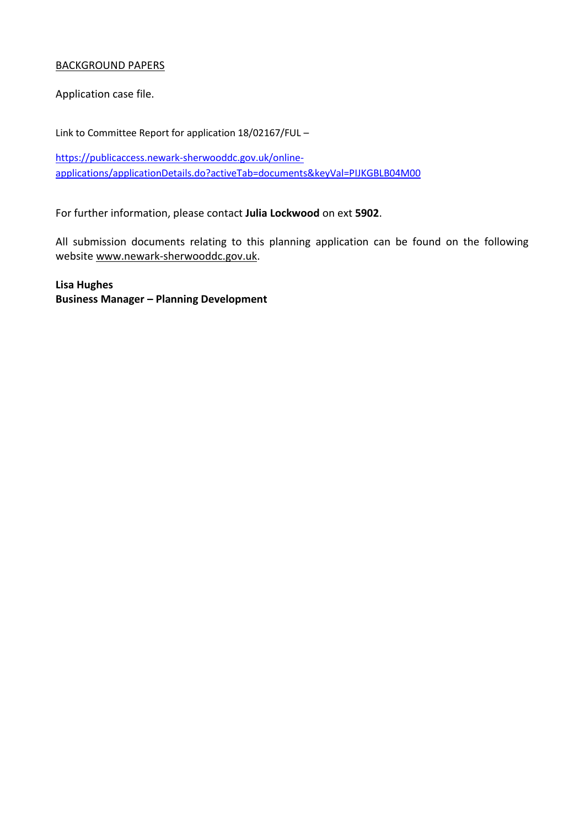### BACKGROUND PAPERS

Application case file.

Link to Committee Report for application 18/02167/FUL –

[https://publicaccess.newark-sherwooddc.gov.uk/online](https://publicaccess.newark-sherwooddc.gov.uk/online-applications/applicationDetails.do?activeTab=documents&keyVal=PIJKGBLB04M00)[applications/applicationDetails.do?activeTab=documents&keyVal=PIJKGBLB04M00](https://publicaccess.newark-sherwooddc.gov.uk/online-applications/applicationDetails.do?activeTab=documents&keyVal=PIJKGBLB04M00)

For further information, please contact **Julia Lockwood** on ext **5902**.

All submission documents relating to this planning application can be found on the following websit[e www.newark-sherwooddc.gov.uk.](http://www.newark-sherwooddc.gov.uk/)

**Lisa Hughes Business Manager – Planning Development**